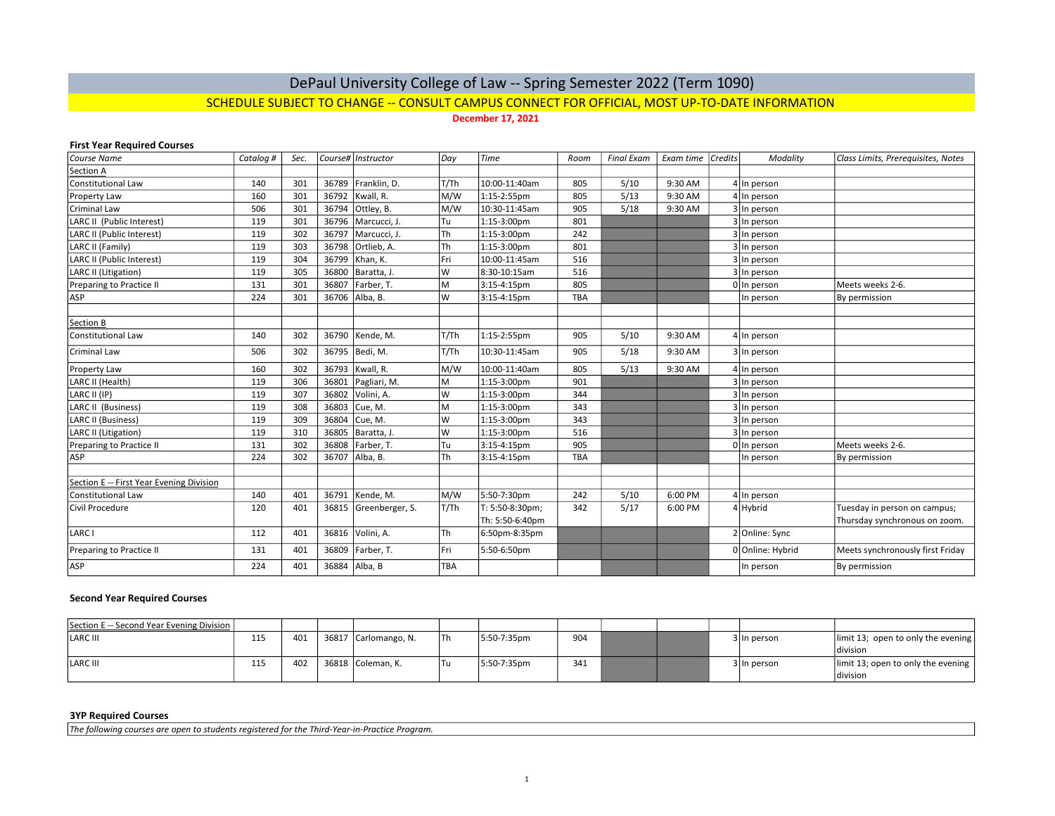# DePaul University College of Law -- Spring Semester 2022 (Term 1090) SCHEDULE SUBJECT TO CHANGE -- CONSULT CAMPUS CONNECT FOR OFFICIAL, MOST UP-TO-DATE INFORMATION

December 17, 2021

#### First Year Required Courses

| Course Name                              | Catalog # | Sec. |       | Course# Instructor | Day        | Time            | Room       | <b>Final Exam</b> | Exam time | <i>Credits</i> | Modality         | Class Limits, Prerequisites, Notes |
|------------------------------------------|-----------|------|-------|--------------------|------------|-----------------|------------|-------------------|-----------|----------------|------------------|------------------------------------|
| Section A                                |           |      |       |                    |            |                 |            |                   |           |                |                  |                                    |
| Constitutional Law                       | 140       | 301  | 36789 | Franklin, D.       | T/Th       | 10:00-11:40am   | 805        | 5/10              | 9:30 AM   |                | 4 In person      |                                    |
| Property Law                             | 160       | 301  | 36792 | Kwall, R.          | M/W        | 1:15-2:55pm     | 805        | 5/13              | 9:30 AM   |                | 4 In person      |                                    |
| Criminal Law                             | 506       | 301  | 36794 | Ottley, B.         | M/W        | 10:30-11:45am   | 905        | 5/18              | 9:30 AM   |                | 3 In person      |                                    |
| LARC II (Public Interest)                | 119       | 301  | 36796 | Marcucci, J.       | Tu         | 1:15-3:00pm     | 801        |                   |           |                | 3 In person      |                                    |
| LARC II (Public Interest)                | 119       | 302  | 36797 | Marcucci, J.       | Th         | 1:15-3:00pm     | 242        |                   |           |                | 3 In person      |                                    |
| LARC II (Family)                         | 119       | 303  | 36798 | Ortlieb, A.        | Th         | 1:15-3:00pm     | 801        |                   |           |                | 3 In person      |                                    |
| LARC II (Public Interest)                | 119       | 304  | 36799 | Khan, K.           | Fri        | 10:00-11:45am   | 516        |                   |           |                | 3 In person      |                                    |
| LARC II (Litigation)                     | 119       | 305  | 36800 | Baratta, J.        | W          | 8:30-10:15am    | 516        |                   |           |                | In person        |                                    |
| Preparing to Practice II                 | 131       | 301  | 36807 | Farber, T.         | M          | 3:15-4:15pm     | 805        |                   |           |                | 0 In person      | Meets weeks 2-6.                   |
| ASP                                      | 224       | 301  | 36706 | Alba, B.           | W          | 3:15-4:15pm     | <b>TBA</b> |                   |           |                | In person        | By permission                      |
|                                          |           |      |       |                    |            |                 |            |                   |           |                |                  |                                    |
| Section B                                |           |      |       |                    |            |                 |            |                   |           |                |                  |                                    |
| <b>Constitutional Law</b>                | 140       | 302  | 36790 | Kende, M.          | T/Th       | 1:15-2:55pm     | 905        | 5/10              | 9:30 AM   |                | 4 In person      |                                    |
| Criminal Law                             | 506       | 302  | 36795 | Bedi, M.           | T/Th       | 10:30-11:45am   | 905        | 5/18              | 9:30 AM   |                | 3 In person      |                                    |
| <b>Property Law</b>                      | 160       | 302  | 36793 | Kwall, R.          | M/W        | 10:00-11:40am   | 805        | 5/13              | 9:30 AM   |                | 4 In person      |                                    |
| LARC II (Health)                         | 119       | 306  | 36801 | Pagliari, M.       | M          | 1:15-3:00pm     | 901        |                   |           |                | 3 In person      |                                    |
| LARC II (IP)                             | 119       | 307  | 36802 | Volini, A.         | W          | 1:15-3:00pm     | 344        |                   |           |                | 3 In person      |                                    |
| LARC II (Business)                       | 119       | 308  | 36803 | Cue, M.            | M          | 1:15-3:00pm     | 343        |                   |           |                | 3 In person      |                                    |
| <b>LARC II (Business)</b>                | 119       | 309  | 36804 | Cue, M.            | W          | 1:15-3:00pm     | 343        |                   |           |                | 3 In person      |                                    |
| LARC II (Litigation)                     | 119       | 310  | 36805 | Baratta, J.        | W          | 1:15-3:00pm     | 516        |                   |           |                | 3 In person      |                                    |
| Preparing to Practice II                 | 131       | 302  | 36808 | Farber, T.         | Tu         | 3:15-4:15pm     | 905        |                   |           |                | 0 In person      | Meets weeks 2-6.                   |
| ASP                                      | 224       | 302  | 36707 | Alba, B.           | Th         | 3:15-4:15pm     | <b>TBA</b> |                   |           |                | In person        | By permission                      |
|                                          |           |      |       |                    |            |                 |            |                   |           |                |                  |                                    |
| Section E -- First Year Evening Division |           |      |       |                    |            |                 |            |                   |           |                |                  |                                    |
| Constitutional Law                       | 140       | 401  | 36791 | Kende. M.          | M/W        | 5:50-7:30pm     | 242        | 5/10              | 6:00 PM   |                | 4 In person      |                                    |
| Civil Procedure                          | 120       | 401  | 36815 | Greenberger, S.    | T/Th       | T: 5:50-8:30pm; | 342        | 5/17              | 6:00 PM   |                | 4 Hybrid         | Tuesday in person on campus;       |
|                                          |           |      |       |                    |            | Th: 5:50-6:40pm |            |                   |           |                |                  | Thursday synchronous on zoom.      |
| LARC I                                   | 112       | 401  | 36816 | Volini, A.         | Th         | 6:50pm-8:35pm   |            |                   |           |                | 2 Online: Sync   |                                    |
| Preparing to Practice II                 | 131       | 401  | 36809 | Farber, T.         | Fri        | 5:50-6:50pm     |            |                   |           |                | 0 Online: Hybrid | Meets synchronously first Friday   |
| ASP                                      | 224       | 401  | 36884 | Alba, B            | <b>TBA</b> |                 |            |                   |           |                | In person        | By permission                      |

### Second Year Required Courses

| Section E -- Second Year Evening Division |     |     |                      |      |             |     |  |             |                                                                        |
|-------------------------------------------|-----|-----|----------------------|------|-------------|-----|--|-------------|------------------------------------------------------------------------|
| LARC III                                  | 115 | 401 | 36817 Carlomango, N. | l Th | 5:50-7:35pm | 904 |  | 3 In person | limit 13; open to only the evening<br>ldivision                        |
| LARC III                                  | 115 | 402 | 36818 Coleman, K.    | Tu   | 5:50-7:35pm | 341 |  | 3 In person | $\vert$ limit 13; open to only the evening $\vert$<br><b>Idivision</b> |

#### 3YP Required Courses

The following courses are open to students registered for the Third-Year-in-Practice Program.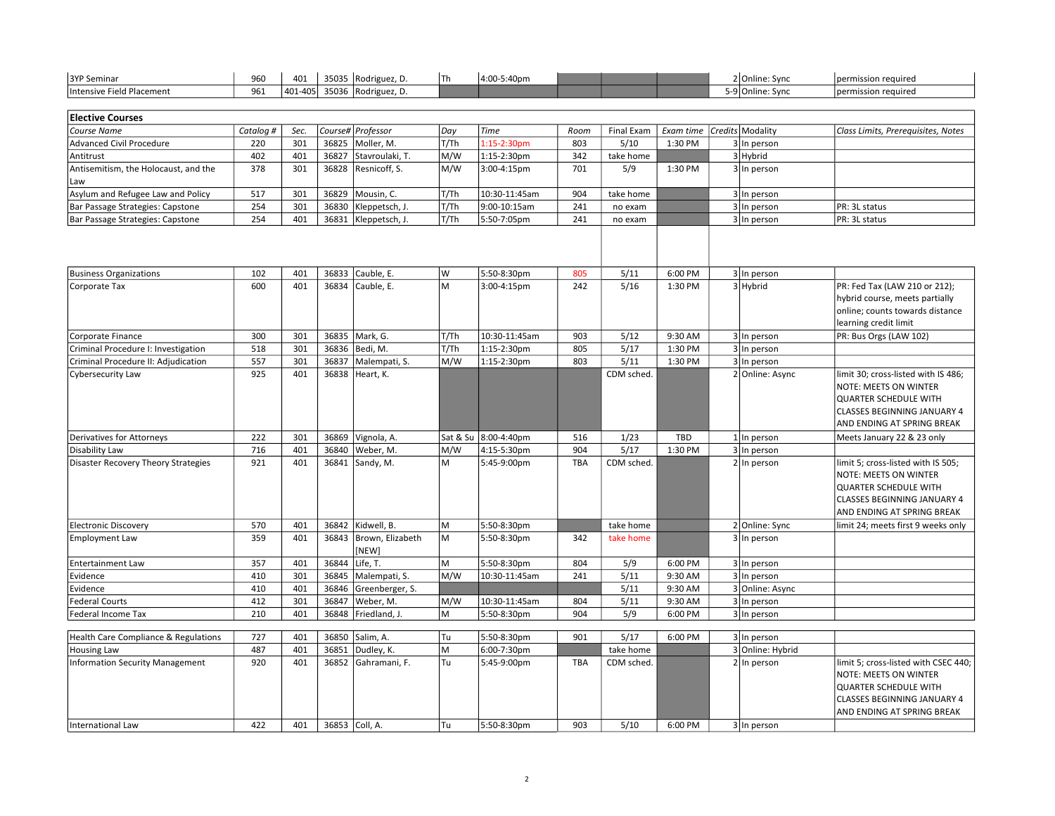| 3YP Seminar               | 960 | 401      | 35035 | Rodriguez. D.       | ີ 5:40pm<br>14:0c |  |  | 2 Online: Sync  | I permission required |
|---------------------------|-----|----------|-------|---------------------|-------------------|--|--|-----------------|-----------------------|
| Intensive Field Placement | 961 | 1401-405 |       | 35036 Rodriguez, D. |                   |  |  | -9 Online: Sync | 'permission required  |

| <b>Elective Courses</b>              |           |      |                        |       |                         |      |            |                                |             |                                    |
|--------------------------------------|-----------|------|------------------------|-------|-------------------------|------|------------|--------------------------------|-------------|------------------------------------|
| Course Name                          | Catalog # | Sec. | Course# Professor      | Day   | <b>Time</b>             | Room | Final Exam | Exam time   Credits   Modality |             | Class Limits, Prerequisites, Notes |
| Advanced Civil Procedure             | 220       | 301  | 36825   Moller, M.     | T/Th  | $1:15-2:30pm$           | 803  | 5/10       | 1:30 PM                        | 3 In person |                                    |
| Antitrust                            | 402       | 401  | 36827 Stavroulaki, T.  | M/W   | 1:15-2:30pm             | 342  | take home  |                                | 3 Hybrid    |                                    |
| Antisemitism, the Holocaust, and the | 378       | 301  | 36828 Resnicoff, S.    | lm/w  | $3:00 - 4:15 \text{pm}$ | 701  | 5/9        | 1:30 PM                        | 3 In person |                                    |
| l Law                                |           |      |                        |       |                         |      |            |                                |             |                                    |
| Asylum and Refugee Law and Policy    | 517       | 301  | 36829   Mousin, C.     | T/Th  | 10:30-11:45am           | 904  | take home  |                                | 3 In person |                                    |
| Bar Passage Strategies: Capstone     | 254       | 301  | 36830   Kleppetsch, J. | T/Th  | 9:00-10:15am            | 241  | no exam    |                                | 3 In person | <b>PR: 3L status</b>               |
| Bar Passage Strategies: Capstone     | 254       | 401  | 36831   Kleppetsch, J. | 'T/Th | 5:50-7:05pm             | 241  | no exam    |                                | 3 In person | <b>PR: 3L status</b>               |

| <b>Business Organizations</b>          | 102 | 401 | 36833 | Cauble, E.            | W    | 5:50-8:30pm          | 805        | 5/11       | 6:00 PM    | 3 In person      |                                      |
|----------------------------------------|-----|-----|-------|-----------------------|------|----------------------|------------|------------|------------|------------------|--------------------------------------|
| Corporate Tax                          | 600 | 401 |       | 36834 Cauble, E.      | M    | 3:00-4:15pm          | 242        | 5/16       | 1:30 PM    | 3 Hybrid         | PR: Fed Tax (LAW 210 or 212);        |
|                                        |     |     |       |                       |      |                      |            |            |            |                  | hybrid course, meets partially       |
|                                        |     |     |       |                       |      |                      |            |            |            |                  | online; counts towards distance      |
|                                        |     |     |       |                       |      |                      |            |            |            |                  | learning credit limit                |
| Corporate Finance                      | 300 | 301 | 36835 | Mark, G.              | T/Th | 10:30-11:45am        | 903        | 5/12       | 9:30 AM    | 3 In person      | PR: Bus Orgs (LAW 102)               |
| Criminal Procedure I: Investigation    | 518 | 301 |       | 36836   Bedi, M.      | T/Th | 1:15-2:30pm          | 805        | 5/17       | 1:30 PM    | 3 In person      |                                      |
| Criminal Procedure II: Adjudication    | 557 | 301 | 36837 | Malempati, S.         | M/W  | 1:15-2:30pm          | 803        | 5/11       | 1:30 PM    | 3 In person      |                                      |
| <b>Cybersecurity Law</b>               | 925 | 401 | 36838 | Heart, K.             |      |                      |            | CDM sched. |            | 2 Online: Async  | limit 30; cross-listed with IS 486;  |
|                                        |     |     |       |                       |      |                      |            |            |            |                  | NOTE: MEETS ON WINTER                |
|                                        |     |     |       |                       |      |                      |            |            |            |                  | QUARTER SCHEDULE WITH                |
|                                        |     |     |       |                       |      |                      |            |            |            |                  | CLASSES BEGINNING JANUARY 4          |
|                                        |     |     |       |                       |      |                      |            |            |            |                  | AND ENDING AT SPRING BREAK           |
| Derivatives for Attorneys              | 222 | 301 | 36869 | Vignola, A.           |      | Sat & Su 8:00-4:40pm | 516        | 1/23       | <b>TBD</b> | $1$   In person  | Meets January 22 & 23 only           |
| Disability Law                         | 716 | 401 | 36840 | Weber, M.             | M/W  | 4:15-5:30pm          | 904        | 5/17       | 1:30 PM    | 3 In person      |                                      |
| Disaster Recovery Theory Strategies    | 921 | 401 | 36841 | Sandy, M.             | M    | 5:45-9:00pm          | <b>TBA</b> | CDM sched. |            | 2 In person      | limit 5; cross-listed with IS 505;   |
|                                        |     |     |       |                       |      |                      |            |            |            |                  | <b>NOTE: MEETS ON WINTER</b>         |
|                                        |     |     |       |                       |      |                      |            |            |            |                  | <b>QUARTER SCHEDULE WITH</b>         |
|                                        |     |     |       |                       |      |                      |            |            |            |                  | CLASSES BEGINNING JANUARY 4          |
|                                        |     |     |       |                       |      |                      |            |            |            |                  | AND ENDING AT SPRING BREAK           |
| <b>Electronic Discovery</b>            | 570 | 401 | 36842 | Kidwell, B.           | M    | 5:50-8:30pm          |            | take home  |            | 2 Online: Sync   | limit 24; meets first 9 weeks only   |
| <b>Employment Law</b>                  | 359 | 401 | 36843 | Brown, Elizabeth      | M    | 5:50-8:30pm          | 342        | take home  |            | 3 In person      |                                      |
|                                        |     |     |       | [NEW]                 |      |                      |            |            |            |                  |                                      |
| <b>Entertainment Law</b>               | 357 | 401 | 36844 | Life, T.              | M    | 5:50-8:30pm          | 804        | 5/9        | 6:00 PM    | 3 In person      |                                      |
| Evidence                               | 410 | 301 | 36845 | Malempati, S.         | M/W  | 10:30-11:45am        | 241        | 5/11       | 9:30 AM    | 3 In person      |                                      |
| Evidence                               | 410 | 401 | 36846 | Greenberger, S.       |      |                      |            | 5/11       | 9:30 AM    | 3 Online: Async  |                                      |
| <b>Federal Courts</b>                  | 412 | 301 | 36847 | Weber, M.             | M/W  | 10:30-11:45am        | 804        | 5/11       | 9:30 AM    | 3 In person      |                                      |
| <b>Federal Income Tax</b>              | 210 | 401 |       | 36848   Friedland, J. | M    | 5:50-8:30pm          | 904        | 5/9        | 6:00 PM    | 3 In person      |                                      |
|                                        |     |     |       |                       |      |                      |            |            |            |                  |                                      |
| Health Care Compliance & Regulations   | 727 | 401 |       | 36850 Salim, A.       | Tu   | 5:50-8:30pm          | 901        | 5/17       | 6:00 PM    | 3 In person      |                                      |
| <b>Housing Law</b>                     | 487 | 401 | 36851 | Dudley, K.            | M    | 6:00-7:30pm          |            | take home  |            | 3 Online: Hybrid |                                      |
| <b>Information Security Management</b> | 920 | 401 | 36852 | Gahramani, F.         | Tu   | 5:45-9:00pm          | <b>TBA</b> | CDM sched. |            | $2 \ln p$ erson  | limit 5; cross-listed with CSEC 440; |
|                                        |     |     |       |                       |      |                      |            |            |            |                  | NOTE: MEETS ON WINTER                |

International Law 422 401 36853 Coll, A. Tu 5:50-8:30pm 903 5/10 6:00 PM 3 In person

QUARTER SCHEDULE WITH CLASSES BEGINNING JANUARY 4 AND ENDING AT SPRING BREAK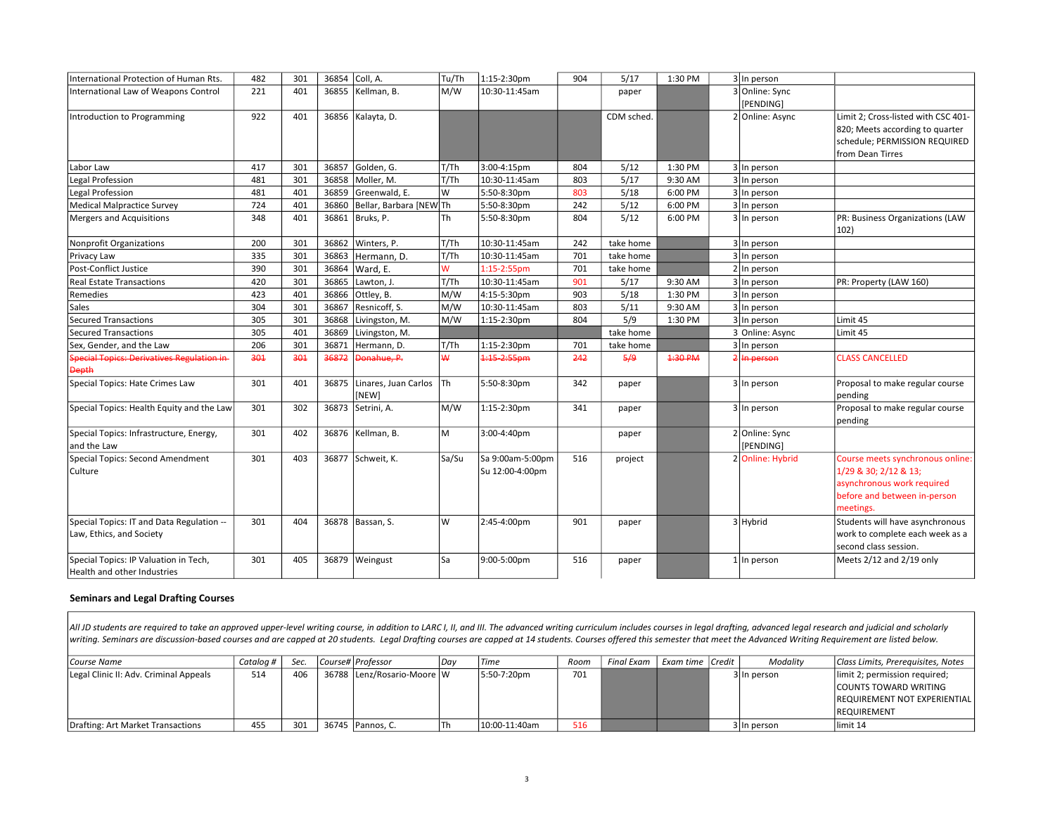| International Protection of Human Rts.                                | 482 | 301 | 36854 | Coll, A.                      | Tu/Th     | 1:15-2:30pm                         | 904 | 5/17       | 1:30 PM | 3 In person                 |                                                                                                                                      |
|-----------------------------------------------------------------------|-----|-----|-------|-------------------------------|-----------|-------------------------------------|-----|------------|---------|-----------------------------|--------------------------------------------------------------------------------------------------------------------------------------|
| International Law of Weapons Control                                  | 221 | 401 | 36855 | Kellman, B.                   | M/W       | 10:30-11:45am                       |     | paper      |         | 3 Online: Sync<br>[PENDING] |                                                                                                                                      |
| Introduction to Programming                                           | 922 | 401 | 36856 | Kalayta, D.                   |           |                                     |     | CDM sched. |         | 2 Online: Async             | Limit 2: Cross-listed with CSC 401-<br>820; Meets according to quarter<br>schedule; PERMISSION REQUIRED<br>from Dean Tirres          |
| Labor Law                                                             | 417 | 301 | 36857 | Golden, G.                    | T/Th      | 3:00-4:15pm                         | 804 | 5/12       | 1:30 PM | 3 In person                 |                                                                                                                                      |
| Legal Profession                                                      | 481 | 301 | 36858 | Moller, M.                    | T/Th      | 10:30-11:45am                       | 803 | 5/17       | 9:30 AM | 3 In person                 |                                                                                                                                      |
| Legal Profession                                                      | 481 | 401 | 36859 | Greenwald. E.                 | W         | 5:50-8:30pm                         | 803 | 5/18       | 6:00 PM | 3 In person                 |                                                                                                                                      |
| Medical Malpractice Survey                                            | 724 | 401 | 36860 | Bellar, Barbara [NEW] Th      |           | 5:50-8:30pm                         | 242 | 5/12       | 6:00 PM | 3 In person                 |                                                                                                                                      |
| Mergers and Acquisitions                                              | 348 | 401 | 36861 | Bruks, P.                     | Th        | 5:50-8:30pm                         | 804 | 5/12       | 6:00 PM | 3 In person                 | PR: Business Organizations (LAW<br>102)                                                                                              |
| <b>Nonprofit Organizations</b>                                        | 200 | 301 | 36862 | Winters, P.                   | T/Th      | 10:30-11:45am                       | 242 | take home  |         | 3 In person                 |                                                                                                                                      |
| Privacy Law                                                           | 335 | 301 | 36863 | Hermann. D.                   | T/Th      | 10:30-11:45am                       | 701 | take home  |         | 3 In person                 |                                                                                                                                      |
| Post-Conflict Justice                                                 | 390 | 301 | 36864 | Ward, E.                      | W         | 1:15-2:55pm                         | 701 | take home  |         | 2 In person                 |                                                                                                                                      |
| <b>Real Estate Transactions</b>                                       | 420 | 301 | 36865 | Lawton, J.                    | T/Th      | 10:30-11:45am                       | 901 | 5/17       | 9:30 AM | 3 In person                 | PR: Property (LAW 160)                                                                                                               |
| Remedies                                                              | 423 | 401 | 36866 | Ottley, B.                    | M/W       | 4:15-5:30pm                         | 903 | 5/18       | 1:30 PM | 3 In person                 |                                                                                                                                      |
| Sales                                                                 | 304 | 301 | 36867 | Resnicoff, S.                 | M/W       | 10:30-11:45am                       | 803 | 5/11       | 9:30 AM | $\overline{3}$ In person    |                                                                                                                                      |
| Secured Transactions                                                  | 305 | 301 | 36868 | Livingston, M.                | M/W       | 1:15-2:30pm                         | 804 | 5/9        | 1:30 PM | 3 In person                 | Limit 45                                                                                                                             |
| Secured Transactions                                                  | 305 | 401 | 36869 | Livingston, M.                |           |                                     |     | take home  |         | 3 Online: Async             | Limit 45                                                                                                                             |
| Sex, Gender, and the Law                                              | 206 | 301 | 36871 | Hermann, D.                   | T/Th      | 1:15-2:30pm                         | 701 | take home  |         | 3 In person                 |                                                                                                                                      |
| <b>Special Topics: Derivatives Regulation in</b><br><b>Depth</b>      | 301 | 301 | 36872 | Donahue, P.                   | ₩         | 1:15 2:55pm                         | 242 | 5/9        | 4:30 PM | <del>In person</del>        | <b>CLASS CANCELLED</b>                                                                                                               |
| Special Topics: Hate Crimes Law                                       | 301 | 401 | 36875 | Linares, Juan Carlos<br>[NEW] | <b>Th</b> | 5:50-8:30pm                         | 342 | paper      |         | 3 In person                 | Proposal to make regular course<br>pending                                                                                           |
| Special Topics: Health Equity and the Law                             | 301 | 302 | 36873 | Setrini, A.                   | M/W       | 1:15-2:30pm                         | 341 | paper      |         | 3 In person                 | Proposal to make regular course<br>pending                                                                                           |
| Special Topics: Infrastructure, Energy,<br>and the Law                | 301 | 402 | 36876 | Kellman, B.                   | M         | 3:00-4:40pm                         |     | paper      |         | 2 Online: Sync<br>[PENDING] |                                                                                                                                      |
| Special Topics: Second Amendment<br>Culture                           | 301 | 403 | 36877 | Schweit, K.                   | Sa/Su     | Sa 9:00am-5:00pm<br>Su 12:00-4:00pm | 516 | project    |         | 2 Online: Hybrid            | Course meets synchronous online:<br>1/29 & 30; 2/12 & 13;<br>asynchronous work required<br>before and between in-person<br>meetings. |
| Special Topics: IT and Data Regulation --<br>Law, Ethics, and Society | 301 | 404 | 36878 | Bassan, S.                    | W         | 2:45-4:00pm                         | 901 | paper      |         | 3 Hybrid                    | Students will have asynchronous<br>work to complete each week as a<br>second class session.                                          |
| Special Topics: IP Valuation in Tech,<br>Health and other Industries  | 301 | 405 | 36879 | Weingust                      | Sa        | 9:00-5:00pm                         | 516 | paper      |         | $1$  In person              | Meets 2/12 and 2/19 only                                                                                                             |

# Seminars and Legal Drafting Courses

All JD students are required to take an approved upper-level writing course, in addition to LARC I, II, and III. The advanced writing curriculum includes courses in legal drafting, advanced legal research and judicial and writing. Seminars are discussion-based courses and are capped at 20 students. Legal Drafting courses are capped at 14 students. Courses offered this semester that meet the Advanced Writing Requirement are listed below.

| Course Name                            | Cataloa # | Sec. | Course#   Professor        | Dav | <i>Time</i>   | Room | Final Exam | Exam time   Credit | Modality    | Class Limits, Prerequisites, Notes   |
|----------------------------------------|-----------|------|----------------------------|-----|---------------|------|------------|--------------------|-------------|--------------------------------------|
| Legal Clinic II: Adv. Criminal Appeals | 514       | 406  | 36788 Lenz/Rosario-Moore W |     | 5:50-7:20pm   | 701  |            |                    | 3 In person | limit 2; permission required;        |
|                                        |           |      |                            |     |               |      |            |                    |             | <b>COUNTS TOWARD WRITING</b>         |
|                                        |           |      |                            |     |               |      |            |                    |             | <b>IREQUIREMENT NOT EXPERIENTIAL</b> |
|                                        |           |      |                            |     |               |      |            |                    |             | <b>IREQUIREMENT</b>                  |
| Drafting: Art Market Transactions      | 455       | 301  | 36745 Pannos, C.           |     | 10:00-11:40am | 516  |            |                    | 3 In person | llimit 14                            |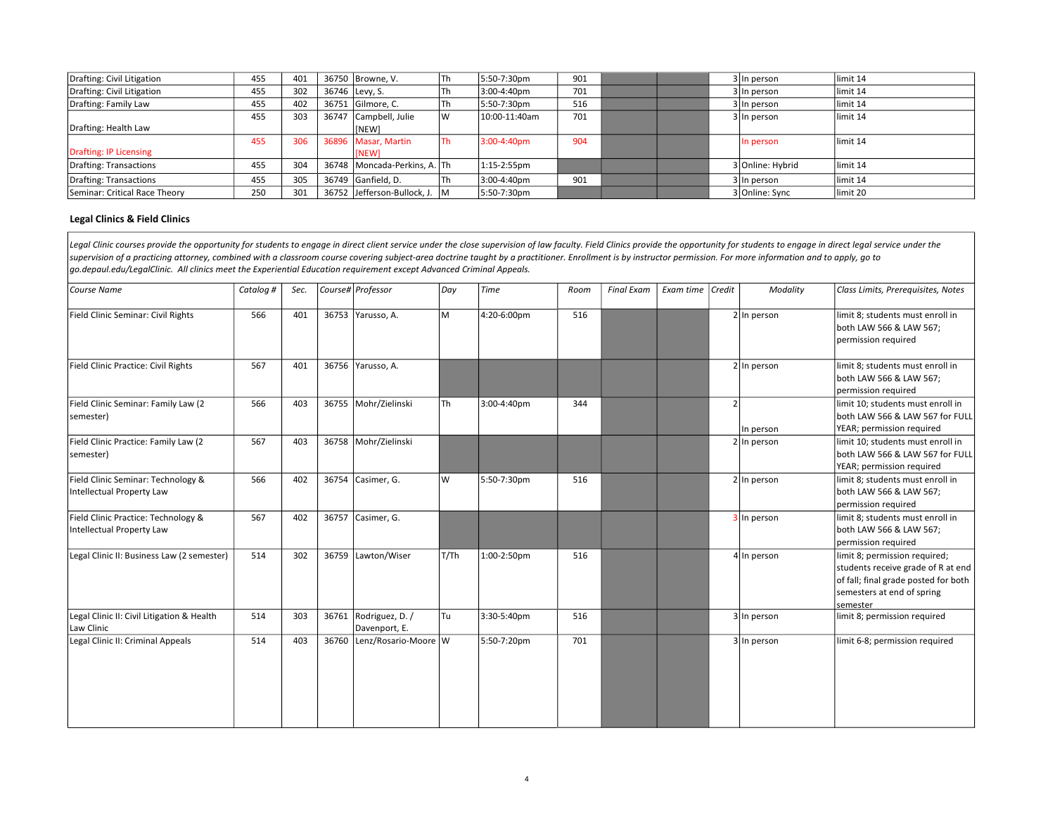| Drafting: Civil Litigation    | 455 | 401 | 36750 Browne, V.              | Th | 5:50-7:30pm   | 901 |  | 3 In person      | limit 14  |
|-------------------------------|-----|-----|-------------------------------|----|---------------|-----|--|------------------|-----------|
| Drafting: Civil Litigation    | 455 | 302 | 36746 Levy, S.                | 1h | 3:00-4:40pm   | 701 |  | 3 In person      | limit 14  |
| Drafting: Family Law          | 455 | 402 | 36751 Gilmore, C.             | 1h | 5:50-7:30pm   | 516 |  | 3 In person      | limit 14  |
|                               | 455 | 303 | 36747 Campbell, Julie         |    | 10:00-11:40am | 701 |  | 3 In person      | llimit 14 |
| Drafting: Health Law          |     |     | <b>INEW1</b>                  |    |               |     |  |                  |           |
|                               | 455 | 306 | 36896 Masar, Martin           | Th | 3:00-4:40pm   | 904 |  | In person        | limit 14  |
| Drafting: IP Licensing        |     |     | <b>INEW1</b>                  |    |               |     |  |                  |           |
| Drafting: Transactions        | 455 | 304 | 36748 Moncada-Perkins, A. Th  |    | 1:15-2:55pm   |     |  | 3 Online: Hybrid | llimit 14 |
| Drafting: Transactions        | 455 | 305 | 36749 Ganfield, D.            | Τh | 3:00-4:40pm   | 901 |  | 3 In person      | limit 14  |
| Seminar: Critical Race Theory | 250 | 301 | 36752 Jefferson-Bullock, J. M |    | 5:50-7:30pm   |     |  | 3 Online: Sync   | limit 20  |

#### Legal Clinics & Field Clinics

Legal Clinic courses provide the opportunity for students to engage in direct client service under the close supervision of law faculty. Field Clinics provide the opportunity for students to engage in direct legal service supervision of a practicing attorney, combined with a classroom course covering subject-area doctrine taught by a practitioner. Enrollment is by instructor permission. For more information and to apply, go to go.depaul.edu/LegalClinic. All clinics meet the Experiential Education requirement except Advanced Criminal Appeals.

| Course Name                                                      | Catalog # | Sec. |       | Course# Professor                | Day  | <b>Time</b> | Room | <b>Final Exam</b> | Exam time   Credit |                | Modality        | Class Limits, Prerequisites, Notes                                                                                                                    |
|------------------------------------------------------------------|-----------|------|-------|----------------------------------|------|-------------|------|-------------------|--------------------|----------------|-----------------|-------------------------------------------------------------------------------------------------------------------------------------------------------|
| Field Clinic Seminar: Civil Rights                               | 566       | 401  |       | 36753 Yarusso, A.                | M    | 4:20-6:00pm | 516  |                   |                    |                | $2 \ln p$ erson | limit 8; students must enroll in<br>both LAW 566 & LAW 567;<br>permission required                                                                    |
| Field Clinic Practice: Civil Rights                              | 567       | 401  |       | 36756 Yarusso, A.                |      |             |      |                   |                    |                | 2 In person     | limit 8; students must enroll in<br>both LAW 566 & LAW 567;<br>permission required                                                                    |
| Field Clinic Seminar: Family Law (2<br>semester)                 | 566       | 403  | 36755 | Mohr/Zielinski                   | Th   | 3:00-4:40pm | 344  |                   |                    | $\overline{2}$ | In person       | limit 10; students must enroll in<br>both LAW 566 & LAW 567 for FULL<br>YEAR; permission required                                                     |
| Field Clinic Practice: Family Law (2<br>semester)                | 567       | 403  |       | 36758 Mohr/Zielinski             |      |             |      |                   |                    |                | $2 \ln p$ erson | limit 10; students must enroll in<br>both LAW 566 & LAW 567 for FULL<br>YEAR; permission required                                                     |
| Field Clinic Seminar: Technology &<br>Intellectual Property Law  | 566       | 402  | 36754 | Casimer, G.                      | W    | 5:50-7:30pm | 516  |                   |                    |                | $2 \ln p$ erson | limit 8; students must enroll in<br>both LAW 566 & LAW 567;<br>permission required                                                                    |
| Field Clinic Practice: Technology &<br>Intellectual Property Law | 567       | 402  | 36757 | Casimer, G.                      |      |             |      |                   |                    |                | 3 In person     | limit 8; students must enroll in<br>both LAW 566 & LAW 567;<br>permission required                                                                    |
| Legal Clinic II: Business Law (2 semester)                       | 514       | 302  | 36759 | Lawton/Wiser                     | T/Th | 1:00-2:50pm | 516  |                   |                    |                | $4$ In person   | limit 8; permission required;<br>students receive grade of R at end<br>of fall; final grade posted for both<br>semesters at end of spring<br>semester |
| Legal Clinic II: Civil Litigation & Health<br>Law Clinic         | 514       | 303  | 36761 | Rodriguez, D. /<br>Davenport, E. | Tu   | 3:30-5:40pm | 516  |                   |                    |                | 3 In person     | limit 8; permission required                                                                                                                          |
| Legal Clinic II: Criminal Appeals                                | 514       | 403  | 36760 | Lenz/Rosario-Moore W             |      | 5:50-7:20pm | 701  |                   |                    |                | 3 In person     | limit 6-8; permission required                                                                                                                        |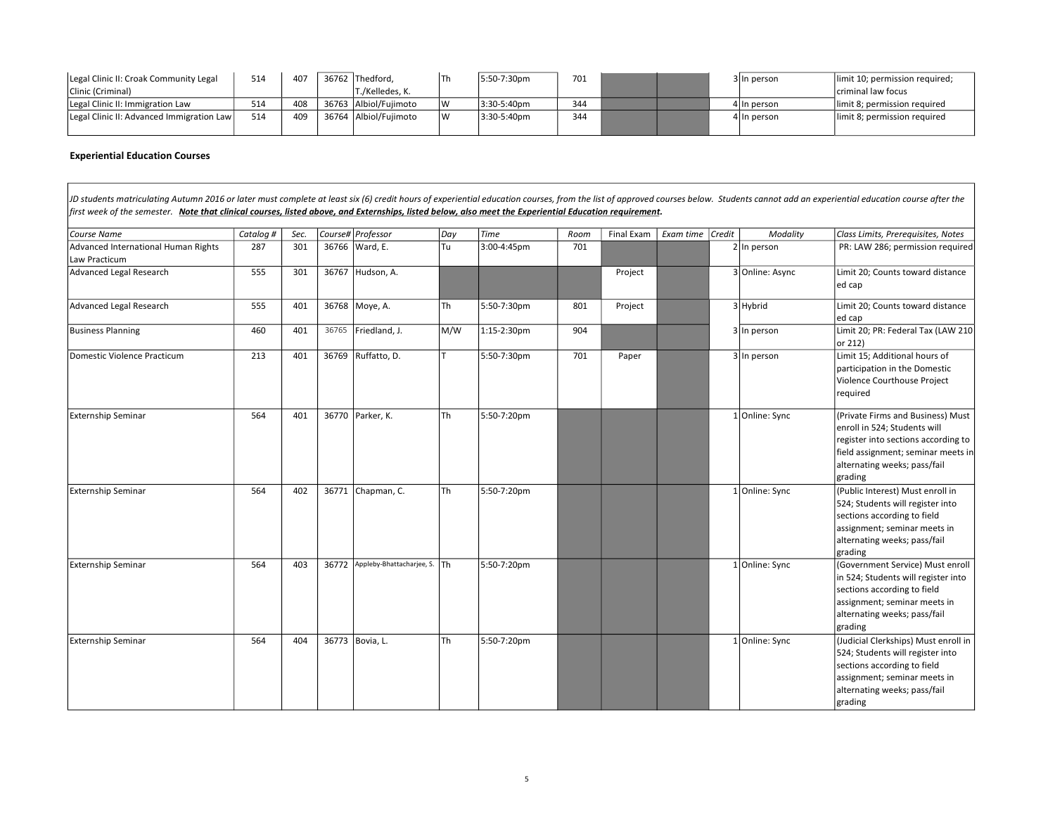| Legal Clinic II: Croak Community Legal    | 514 | 407 |       | 36762 Thedford.       |    | 5:50-7:30pm | 701 |  | 3 In person  | limit 10; permission required; |
|-------------------------------------------|-----|-----|-------|-----------------------|----|-------------|-----|--|--------------|--------------------------------|
| Clinic (Criminal)                         |     |     |       | Г./Kelledes. К.       |    |             |     |  |              | criminal law focus             |
| Legal Clinic II: Immigration Law          | 514 | 408 |       | 36763 Albiol/Fuiimoto |    | 3:30-5:40pm | 344 |  | 1 IIn person | limit 8; permission required   |
| Legal Clinic II: Advanced Immigration Law | 514 | 409 | 36764 | Albiol/Fuiimoto       | 1W | 3:30-5:40pm | 344 |  | 4 In person  | limit 8; permission required   |
|                                           |     |     |       |                       |    |             |     |  |              |                                |

#### Experiential Education Courses

JD students matriculating Autumn 2016 or later must complete at least six (6) credit hours of experiential education courses, from the list of approved courses below. Students cannot add an experiential education course af first week of the semester. Note that clinical courses, listed above, and Externships, listed below, also meet the Experiential Education requirement.

| Course Name                                          | Catalog # | Sec. |       | Course# Professor            | Day       | Time        | Room | Final Exam | Exam time Credit | Modality        | Class Limits, Prerequisites, Notes                                                                                                                                                        |
|------------------------------------------------------|-----------|------|-------|------------------------------|-----------|-------------|------|------------|------------------|-----------------|-------------------------------------------------------------------------------------------------------------------------------------------------------------------------------------------|
| Advanced International Human Rights<br>Law Practicum | 287       | 301  |       | 36766 Ward, E.               | Tu        | 3:00-4:45pm | 701  |            |                  | $2 \ln p$ erson | PR: LAW 286; permission required                                                                                                                                                          |
| Advanced Legal Research                              | 555       | 301  | 36767 | Hudson, A.                   |           |             |      | Project    |                  | 3 Online: Async | Limit 20; Counts toward distance<br>ed cap                                                                                                                                                |
| Advanced Legal Research                              | 555       | 401  |       | 36768 Moye, A.               | l Th      | 5:50-7:30pm | 801  | Project    |                  | $3$ Hybrid      | Limit 20; Counts toward distance<br>ed cap                                                                                                                                                |
| <b>Business Planning</b>                             | 460       | 401  | 36765 | Friedland, J.                | M/W       | 1:15-2:30pm | 904  |            |                  | 3 In person     | Limit 20; PR: Federal Tax (LAW 210<br>lor 212)                                                                                                                                            |
| Domestic Violence Practicum                          | 213       | 401  | 36769 | Ruffatto, D.                 |           | 5:50-7:30pm | 701  | Paper      |                  | 3 In person     | Limit 15; Additional hours of<br>participation in the Domestic<br>Violence Courthouse Project<br>required                                                                                 |
| <b>Externship Seminar</b>                            | 564       | 401  |       | 36770 Parker, K.             | l Th      | 5:50-7:20pm |      |            |                  | 1 Online: Sync  | (Private Firms and Business) Must<br>enroll in 524; Students will<br>register into sections according to<br>field assignment; seminar meets in<br>alternating weeks; pass/fail<br>grading |
| <b>Externship Seminar</b>                            | 564       | 402  | 36771 | Chapman, C.                  | <b>Th</b> | 5:50-7:20pm |      |            |                  | Online: Sync    | (Public Interest) Must enroll in<br>524; Students will register into<br>sections according to field<br>assignment; seminar meets in<br>alternating weeks; pass/fail<br>grading            |
| <b>Externship Seminar</b>                            | 564       | 403  | 36772 | Appleby-Bhattacharjee, S. Th |           | 5:50-7:20pm |      |            |                  | 1 Online: Sync  | (Government Service) Must enroll<br>in 524; Students will register into<br>sections according to field<br>assignment; seminar meets in<br>alternating weeks; pass/fail<br>grading         |
| <b>Externship Seminar</b>                            | 564       | 404  |       | 36773 Bovia, L.              | Th        | 5:50-7:20pm |      |            |                  | 1 Online: Sync  | (Judicial Clerkships) Must enroll in<br>524; Students will register into<br>sections according to field<br>assignment; seminar meets in<br>alternating weeks; pass/fail<br>grading        |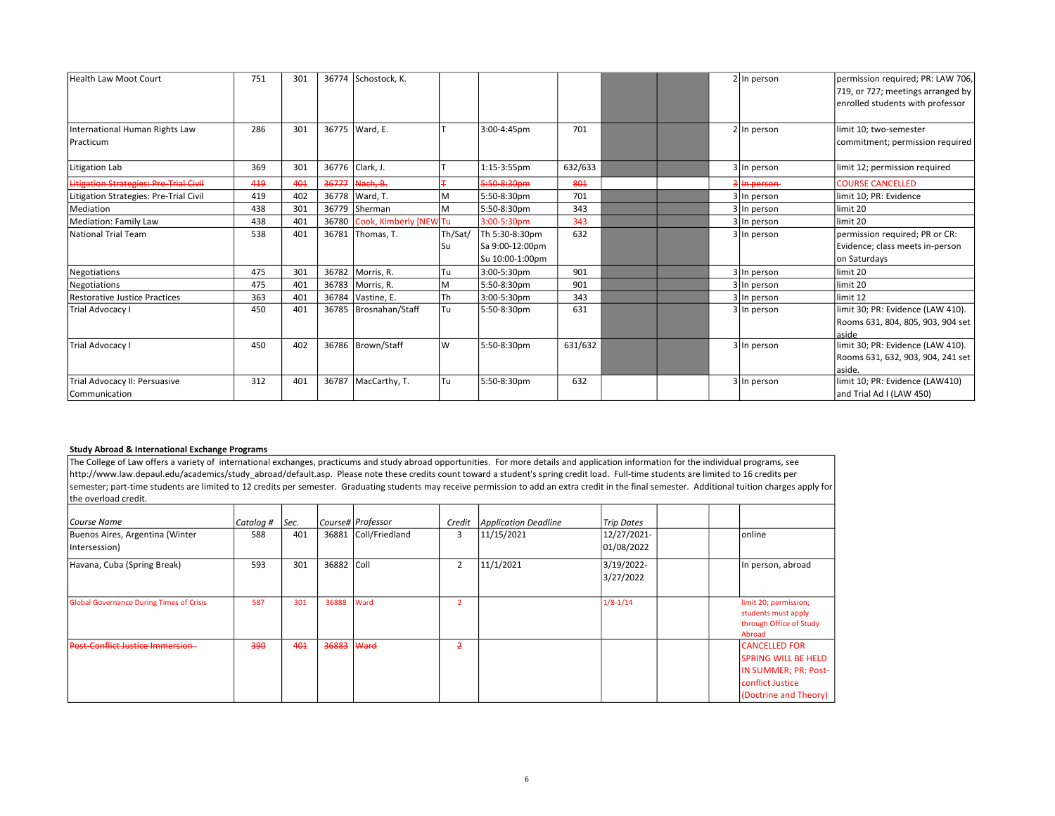| Health Law Moot Court                          | 751 | 301 |       | 36774 Schostock, K.    |         |                                    |         |  | $2 \ln p$ erson | permission required; PR: LAW 706,<br>719, or 727; meetings arranged by<br>enrolled students with professor |
|------------------------------------------------|-----|-----|-------|------------------------|---------|------------------------------------|---------|--|-----------------|------------------------------------------------------------------------------------------------------------|
| International Human Rights Law<br>Practicum    | 286 | 301 | 36775 | Ward, E.               |         | 3:00-4:45pm                        | 701     |  | $2 \ln p$ erson | limit 10; two-semester<br>commitment; permission required                                                  |
| Litigation Lab                                 | 369 | 301 | 36776 | Clark, J.              |         | 1:15-3:55pm                        | 632/633 |  | 3 In person     | limit 12; permission required                                                                              |
| Litigation Strategies: Pre-Trial Civil         | 419 | 401 | 36777 | Nach, B.               |         | $5:50-8:30$ pm                     | 801     |  | In person       | <b>COURSE CANCELLED</b>                                                                                    |
| Litigation Strategies: Pre-Trial Civil         | 419 | 402 | 36778 | Ward, T.               | M       | 5:50-8:30pm                        | 701     |  | 3 In person     | limit 10; PR: Evidence                                                                                     |
| Mediation                                      | 438 | 301 | 36779 | <b>Sherman</b>         | M       | 5:50-8:30pm                        | 343     |  | 3 In person     | llimit 20                                                                                                  |
| <b>Mediation: Family Law</b>                   | 438 | 401 | 36780 | Cook, Kimberly [NEW Tu |         | 3:00-5:30pm                        | 343     |  | 3 In person     | llimit 20                                                                                                  |
| National Trial Team                            | 538 | 401 | 36781 | Thomas, T.             | Th/Sat/ | Th 5:30-8:30pm                     | 632     |  | 3 In person     | permission required; PR or CR:                                                                             |
|                                                |     |     |       |                        | Su      | Sa 9:00-12:00pm<br>Su 10:00-1:00pm |         |  |                 | Evidence; class meets in-person<br>on Saturdays                                                            |
| Negotiations                                   | 475 | 301 | 36782 | Morris, R.             | Tu      | 3:00-5:30pm                        | 901     |  | 3 In person     | limit 20                                                                                                   |
| Negotiations                                   | 475 | 401 | 36783 | Morris, R.             | M       | 5:50-8:30pm                        | 901     |  | 3 In person     | llimit 20                                                                                                  |
| Restorative Justice Practices                  | 363 | 401 | 36784 | Vastine, E.            | Th      | 3:00-5:30pm                        | 343     |  | 3 In person     | llimit 12                                                                                                  |
| Trial Advocacy I                               | 450 | 401 | 36785 | Brosnahan/Staff        | Tu      | 5:50-8:30pm                        | 631     |  | 3 In person     | limit 30; PR: Evidence (LAW 410).<br>Rooms 631, 804, 805, 903, 904 set  <br>laside                         |
| Trial Advocacy I                               | 450 | 402 | 36786 | Brown/Staff            | W       | 5:50-8:30pm                        | 631/632 |  | 3 In person     | limit 30; PR: Evidence (LAW 410).<br>Rooms 631, 632, 903, 904, 241 set<br>laside.                          |
| Trial Advocacy II: Persuasive<br>Communication | 312 | 401 | 36787 | MacCarthy, T.          | Tu      | 5:50-8:30pm                        | 632     |  | 3 In person     | limit 10; PR: Evidence (LAW410)<br>and Trial Ad I (LAW 450)                                                |

#### Study Abroad & International Exchange Programs

The College of Law offers a variety of international exchanges, practicums and study abroad opportunities. For more details and application information for the individual programs, see http://www.law.depaul.edu/academics/study\_abroad/default.asp. Please note these credits count toward a student's spring credit load. Full-time students are limited to 16 credits per semester; part-time students are limited to 12 credits per semester. Graduating students may receive permission to add an extra credit in the final semester. Additional tuition charges apply for the overload credit.

| Course Name                                      | Catalog # | Sec. |            | Course# Professor    | Credit         | <b>Application Deadline</b> | <b>Trip Dates</b>         |  |                                                                                                                         |
|--------------------------------------------------|-----------|------|------------|----------------------|----------------|-----------------------------|---------------------------|--|-------------------------------------------------------------------------------------------------------------------------|
| Buenos Aires, Argentina (Winter<br>Intersession) | 588       | 401  |            | 36881 Coll/Friedland | 3              | 11/15/2021                  | 12/27/2021-<br>01/08/2022 |  | lonline                                                                                                                 |
| Havana, Cuba (Spring Break)                      | 593       | 301  | 36882 Coll |                      | 2              | 11/1/2021                   | 3/19/2022-<br>3/27/2022   |  | In person, abroad                                                                                                       |
| <b>Global Governance During Times of Crisis</b>  | 587       | 301  | 36888      | Ward                 | $\overline{2}$ |                             | $1/8 - 1/14$              |  | limit 20; permission;<br>students must apply<br>through Office of Study<br>Abroad                                       |
| <b>Post-Conflict Justice Immersion-</b>          | 390       | 401  | 36883      | Ward                 | $\overline{2}$ |                             |                           |  | <b>CANCELLED FOR</b><br><b>SPRING WILL BE HELD</b><br>IN SUMMER; PR: Post-<br>conflict Justice<br>(Doctrine and Theory) |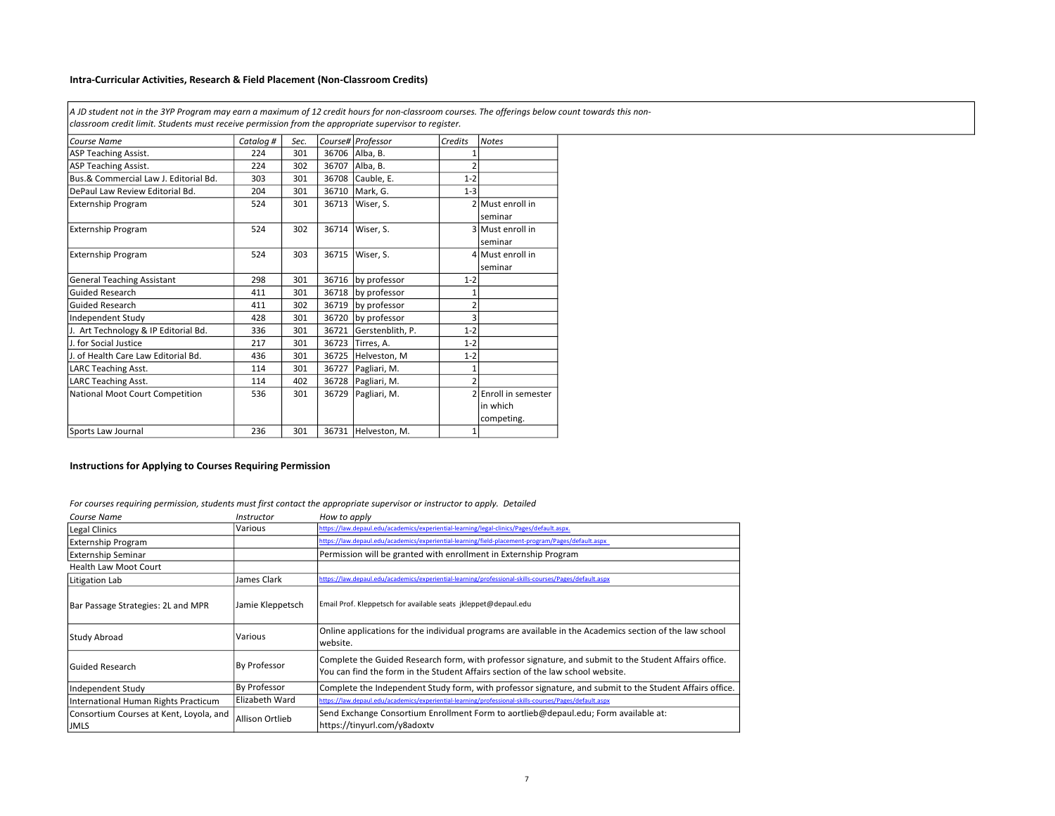### Intra-Curricular Activities, Research & Field Placement (Non-Classroom Credits)

A JD student not in the 3YP Program may earn a maximum of 12 credit hours for non-classroom courses. The offerings below count towards this nonclassroom credit limit. Students must receive permission from the appropriate supervisor to register.

| Course Name                           | Catalog# | Sec. |       | Course# Professor   | Credits        | <b>Notes</b>         |
|---------------------------------------|----------|------|-------|---------------------|----------------|----------------------|
| <b>ASP Teaching Assist.</b>           | 224      | 301  | 36706 | Alba, B.            |                |                      |
| <b>ASP Teaching Assist.</b>           | 224      | 302  | 36707 | Alba, B.            | $\overline{2}$ |                      |
| Bus.& Commercial Law J. Editorial Bd. | 303      | 301  | 36708 | Cauble, E.          | $1 - 2$        |                      |
| DePaul Law Review Editorial Bd.       | 204      | 301  | 36710 | Mark, G.            | $1 - 3$        |                      |
| <b>Externship Program</b>             | 524      | 301  | 36713 | Wiser, S.           |                | 2 Must enroll in     |
|                                       |          |      |       |                     |                | seminar              |
| <b>Externship Program</b>             | 524      | 302  | 36714 | Wiser, S.           |                | 3 Must enroll in     |
|                                       |          |      |       |                     |                | seminar              |
| <b>Externship Program</b>             | 524      | 303  | 36715 | Wiser. S.           |                | 4 Must enroll in     |
|                                       |          |      |       |                     |                | seminar              |
| <b>General Teaching Assistant</b>     | 298      | 301  | 36716 | by professor        | $1 - 2$        |                      |
| <b>Guided Research</b>                | 411      | 301  | 36718 | by professor        |                |                      |
| <b>Guided Research</b>                | 411      | 302  | 36719 | by professor        | $\overline{2}$ |                      |
| Independent Study                     | 428      | 301  | 36720 | by professor        | 3              |                      |
| J. Art Technology & IP Editorial Bd.  | 336      | 301  | 36721 | Gerstenblith, P.    | $1 - 2$        |                      |
| J. for Social Justice                 | 217      | 301  | 36723 | Tirres, A.          | $1 - 2$        |                      |
| J. of Health Care Law Editorial Bd.   | 436      | 301  | 36725 | Helveston, M        | $1 - 2$        |                      |
| LARC Teaching Asst.                   | 114      | 301  | 36727 | Pagliari, M.        | $\mathbf{1}$   |                      |
| <b>LARC Teaching Asst.</b>            | 114      | 402  | 36728 | Pagliari, M.        | $\mathfrak{p}$ |                      |
| National Moot Court Competition       | 536      | 301  | 36729 | Pagliari, M.        |                | 2 Enroll in semester |
|                                       |          |      |       |                     |                | in which             |
|                                       |          |      |       |                     |                | competing.           |
| Sports Law Journal                    | 236      | 301  |       | 36731 Helveston, M. | 1              |                      |

#### Instructions for Applying to Courses Requiring Permission

For courses requiring permission, students must first contact the appropriate supervisor or instructor to apply. Detailed

| Course Name                             | <i><b>Instructor</b></i> | How to apply                                                                                                                                                                              |  |  |  |  |  |
|-----------------------------------------|--------------------------|-------------------------------------------------------------------------------------------------------------------------------------------------------------------------------------------|--|--|--|--|--|
| <b>Legal Clinics</b>                    | Various                  | https://law.depaul.edu/academics/experiential-learning/legal-clinics/Pages/default.aspx.                                                                                                  |  |  |  |  |  |
| <b>Externship Program</b>               |                          | https://law.depaul.edu/academics/experiential-learning/field-placement-program/Pages/default.aspx                                                                                         |  |  |  |  |  |
| <b>Externship Seminar</b>               |                          | Permission will be granted with enrollment in Externship Program                                                                                                                          |  |  |  |  |  |
| <b>Health Law Moot Court</b>            |                          |                                                                                                                                                                                           |  |  |  |  |  |
| Litigation Lab                          | James Clark              | https://law.depaul.edu/academics/experiential-learning/professional-skills-courses/Pages/default.aspx                                                                                     |  |  |  |  |  |
| Bar Passage Strategies: 2L and MPR      | Jamie Kleppetsch         | Email Prof. Kleppetsch for available seats jkleppet@depaul.edu                                                                                                                            |  |  |  |  |  |
| Study Abroad                            | Various                  | Online applications for the individual programs are available in the Academics section of the law school<br>website.                                                                      |  |  |  |  |  |
| lGuided Research                        | <b>By Professor</b>      | Complete the Guided Research form, with professor signature, and submit to the Student Affairs office.<br>You can find the form in the Student Affairs section of the law school website. |  |  |  |  |  |
| Independent Study                       | By Professor             | Complete the Independent Study form, with professor signature, and submit to the Student Affairs office.                                                                                  |  |  |  |  |  |
| International Human Rights Practicum    | Elizabeth Ward           | https://law.depaul.edu/academics/experiential-learning/professional-skills-courses/Pages/default.aspx                                                                                     |  |  |  |  |  |
| Consortium Courses at Kent, Loyola, and | <b>Allison Ortlieb</b>   | Send Exchange Consortium Enrollment Form to aortlieb@depaul.edu; Form available at:                                                                                                       |  |  |  |  |  |
| <b>JMLS</b>                             |                          | https://tinyurl.com/y8adoxtv                                                                                                                                                              |  |  |  |  |  |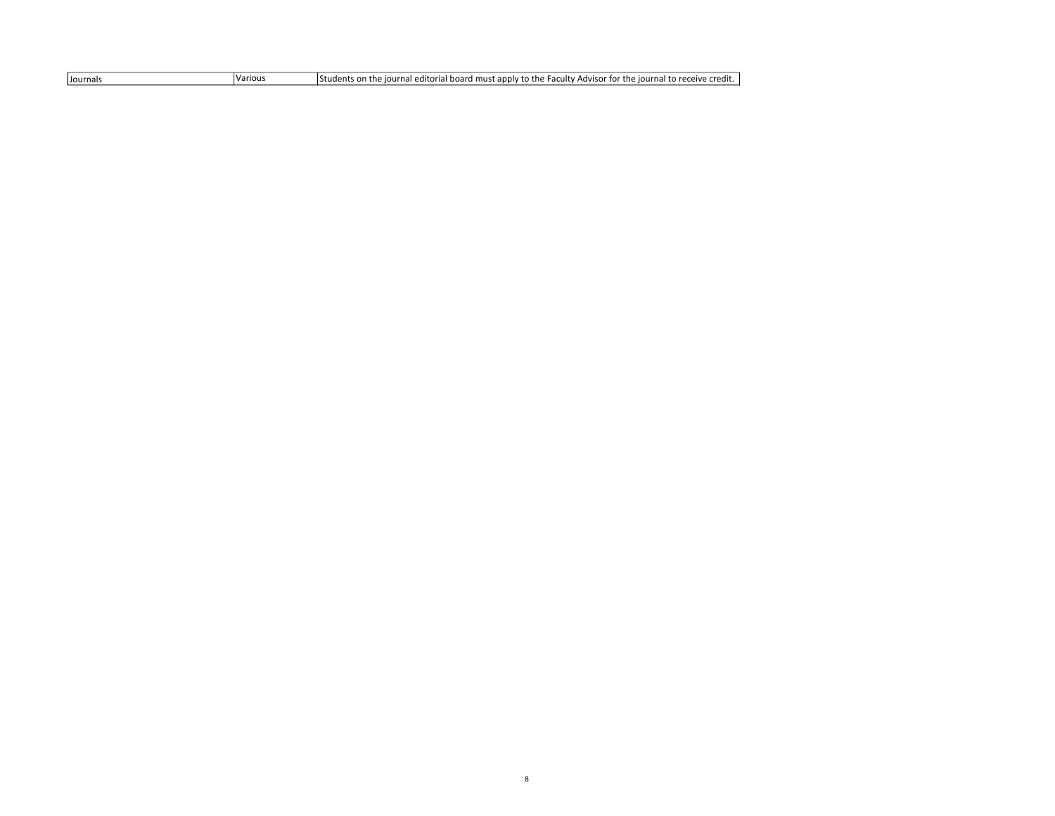| .<br>riour<br>receive credit.<br>I board must apply to the Faculty.<br>' Advisor for<br>r the l<br>iournal to r<br>Students<br>iournal editoria<br>Journals<br>n n<br>The<br>ariou: |
|-------------------------------------------------------------------------------------------------------------------------------------------------------------------------------------|
|-------------------------------------------------------------------------------------------------------------------------------------------------------------------------------------|